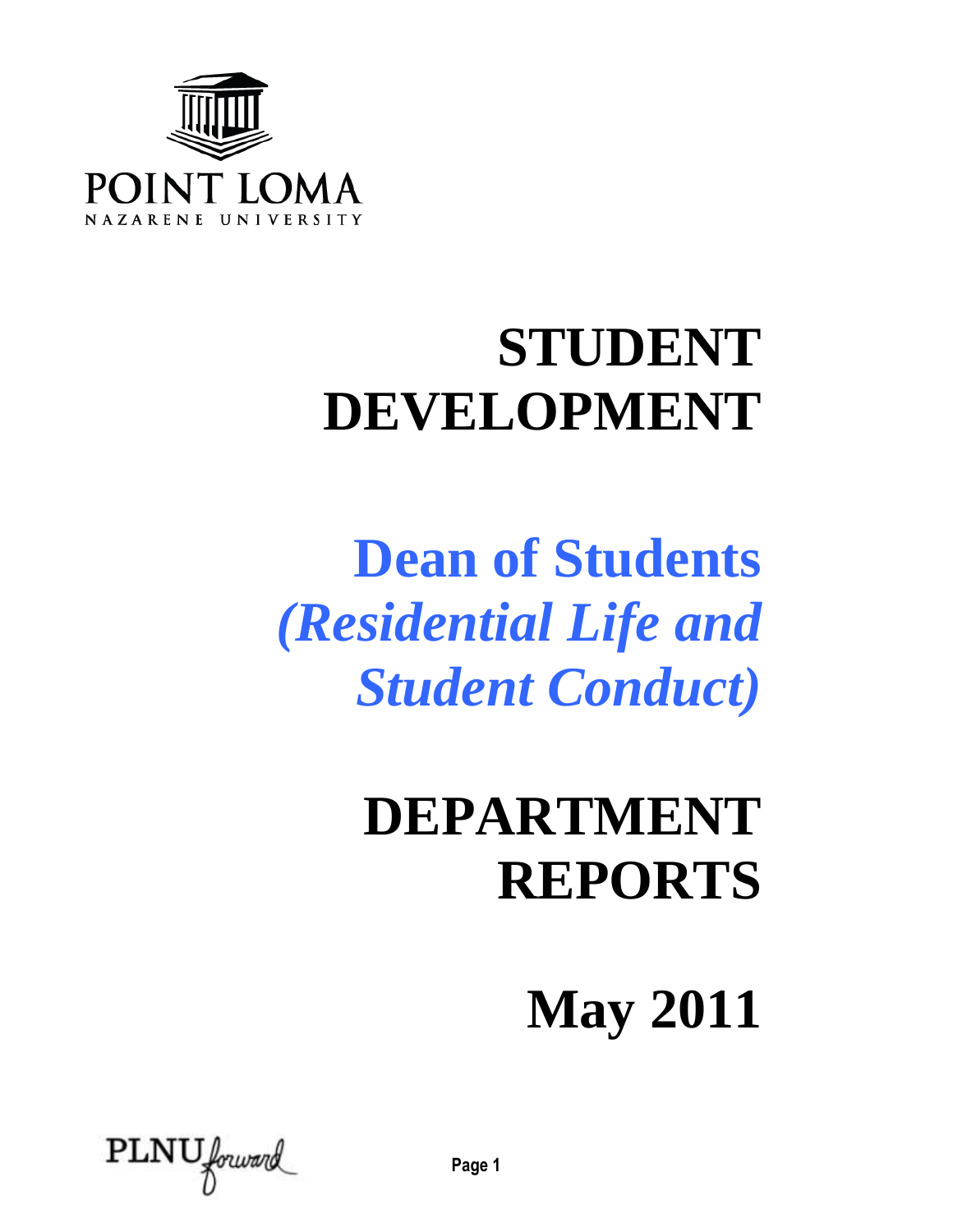

# **STUDENT DEVELOPMENT**

# **Dean of Students**  *(Residential Life and Student Conduct)*

# **DEPARTMENT REPORTS**

**May 2011**

 $\text{PLNU}$  forward

**Page 1**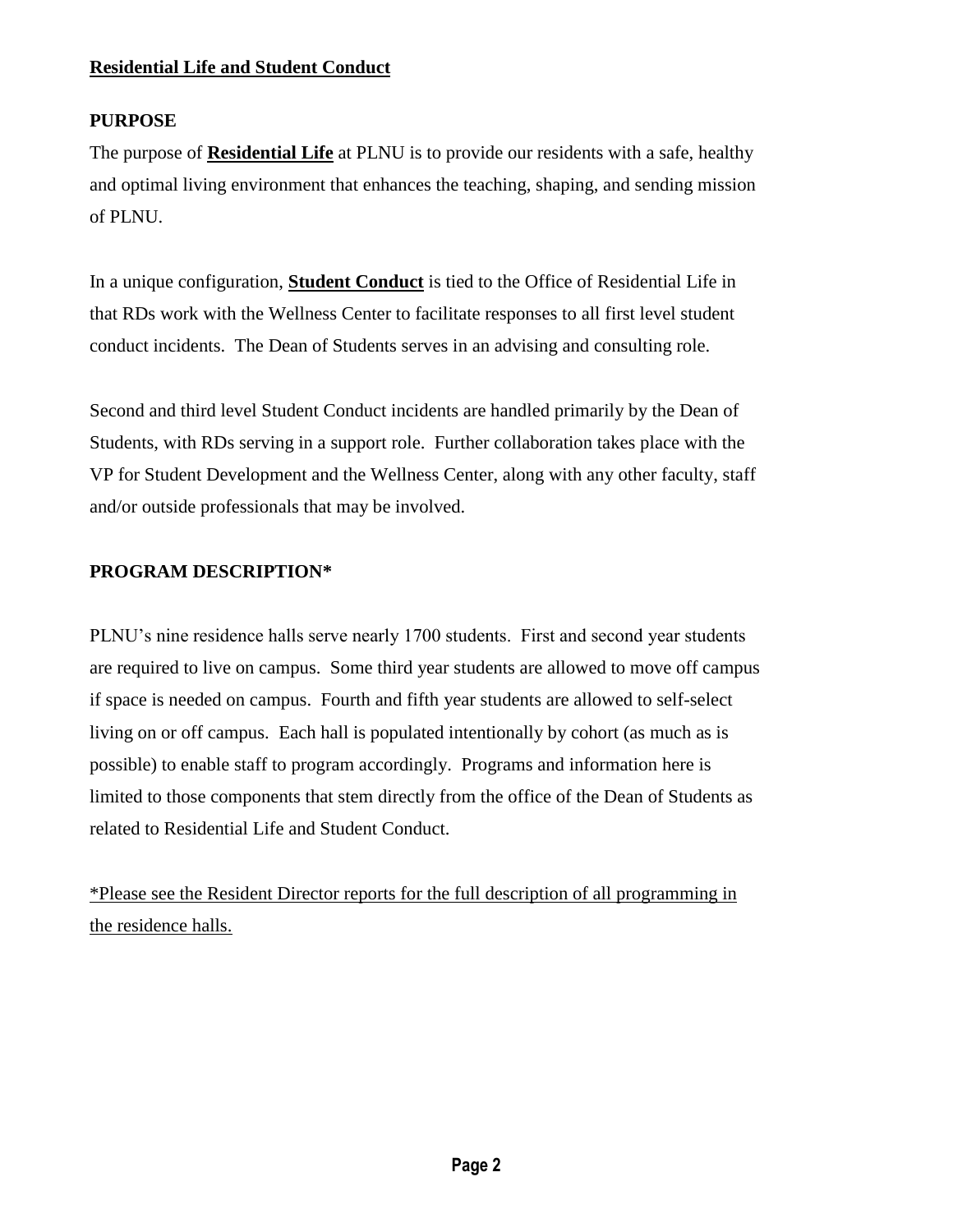### **Residential Life and Student Conduct**

# **PURPOSE**

The purpose of **Residential Life** at PLNU is to provide our residents with a safe, healthy and optimal living environment that enhances the teaching, shaping, and sending mission of PLNU.

In a unique configuration, **Student Conduct** is tied to the Office of Residential Life in that RDs work with the Wellness Center to facilitate responses to all first level student conduct incidents. The Dean of Students serves in an advising and consulting role.

Second and third level Student Conduct incidents are handled primarily by the Dean of Students, with RDs serving in a support role. Further collaboration takes place with the VP for Student Development and the Wellness Center, along with any other faculty, staff and/or outside professionals that may be involved.

# **PROGRAM DESCRIPTION\***

PLNU's nine residence halls serve nearly 1700 students. First and second year students are required to live on campus. Some third year students are allowed to move off campus if space is needed on campus. Fourth and fifth year students are allowed to self-select living on or off campus. Each hall is populated intentionally by cohort (as much as is possible) to enable staff to program accordingly. Programs and information here is limited to those components that stem directly from the office of the Dean of Students as related to Residential Life and Student Conduct.

\*Please see the Resident Director reports for the full description of all programming in the residence halls.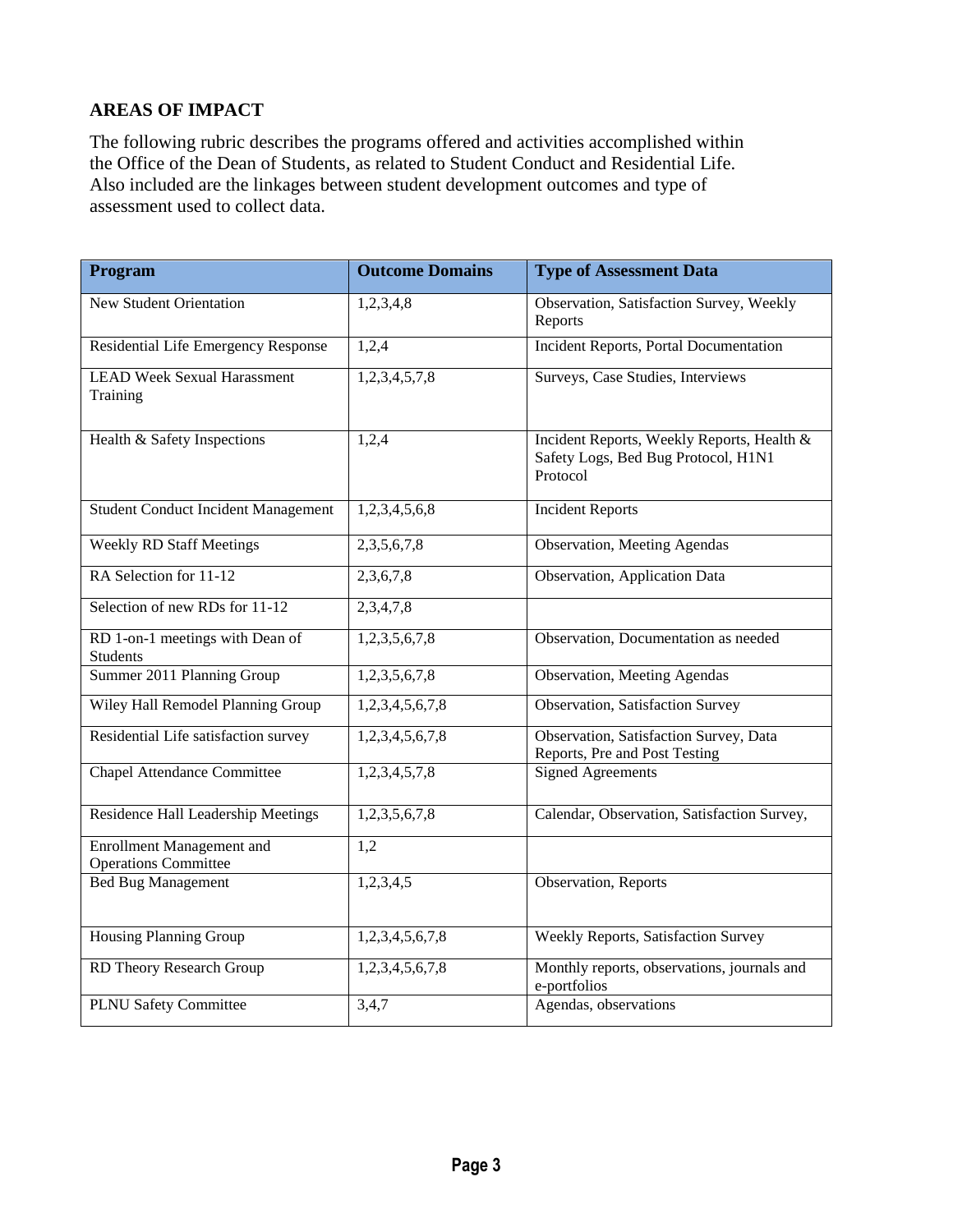# **AREAS OF IMPACT**

The following rubric describes the programs offered and activities accomplished within the Office of the Dean of Students, as related to Student Conduct and Residential Life. Also included are the linkages between student development outcomes and type of assessment used to collect data.

| Program                                                         | <b>Outcome Domains</b> | <b>Type of Assessment Data</b>                                                                |
|-----------------------------------------------------------------|------------------------|-----------------------------------------------------------------------------------------------|
| <b>New Student Orientation</b>                                  | 1,2,3,4,8              | Observation, Satisfaction Survey, Weekly<br>Reports                                           |
| Residential Life Emergency Response                             | 1,2,4                  | Incident Reports, Portal Documentation                                                        |
| <b>LEAD Week Sexual Harassment</b><br>Training                  | 1,2,3,4,5,7,8          | Surveys, Case Studies, Interviews                                                             |
| Health & Safety Inspections                                     | 1,2,4                  | Incident Reports, Weekly Reports, Health &<br>Safety Logs, Bed Bug Protocol, H1N1<br>Protocol |
| <b>Student Conduct Incident Management</b>                      | 1,2,3,4,5,6,8          | <b>Incident Reports</b>                                                                       |
| <b>Weekly RD Staff Meetings</b>                                 | 2, 3, 5, 6, 7, 8       | <b>Observation</b> , Meeting Agendas                                                          |
| RA Selection for 11-12                                          | 2,3,6,7,8              | Observation, Application Data                                                                 |
| Selection of new RDs for 11-12                                  | 2,3,4,7,8              |                                                                                               |
| RD 1-on-1 meetings with Dean of<br><b>Students</b>              | 1,2,3,5,6,7,8          | Observation, Documentation as needed                                                          |
| Summer 2011 Planning Group                                      | 1,2,3,5,6,7,8          | <b>Observation</b> , Meeting Agendas                                                          |
| Wiley Hall Remodel Planning Group                               | 1,2,3,4,5,6,7,8        | Observation, Satisfaction Survey                                                              |
| Residential Life satisfaction survey                            | 1,2,3,4,5,6,7,8        | Observation, Satisfaction Survey, Data<br>Reports, Pre and Post Testing                       |
| <b>Chapel Attendance Committee</b>                              | 1,2,3,4,5,7,8          | <b>Signed Agreements</b>                                                                      |
| Residence Hall Leadership Meetings                              | 1,2,3,5,6,7,8          | Calendar, Observation, Satisfaction Survey,                                                   |
| <b>Enrollment Management and</b><br><b>Operations Committee</b> | 1,2                    |                                                                                               |
| <b>Bed Bug Management</b>                                       | 1,2,3,4,5              | Observation, Reports                                                                          |
| <b>Housing Planning Group</b>                                   | 1,2,3,4,5,6,7,8        | Weekly Reports, Satisfaction Survey                                                           |
| RD Theory Research Group                                        | 1,2,3,4,5,6,7,8        | Monthly reports, observations, journals and<br>e-portfolios                                   |
| <b>PLNU Safety Committee</b>                                    | 3,4,7                  | Agendas, observations                                                                         |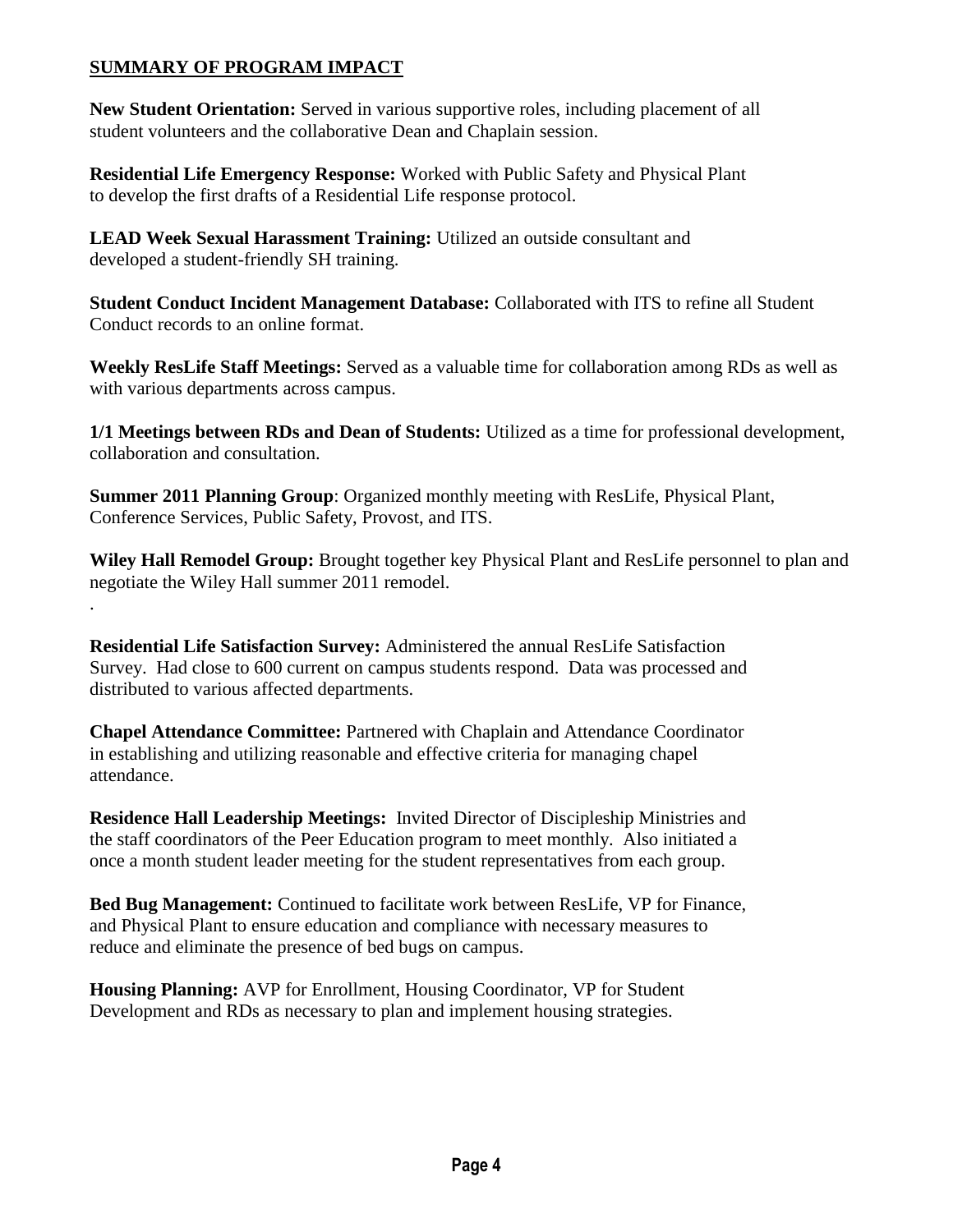# **SUMMARY OF PROGRAM IMPACT**

.

**New Student Orientation:** Served in various supportive roles, including placement of all student volunteers and the collaborative Dean and Chaplain session.

**Residential Life Emergency Response:** Worked with Public Safety and Physical Plant to develop the first drafts of a Residential Life response protocol.

**LEAD Week Sexual Harassment Training:** Utilized an outside consultant and developed a student-friendly SH training.

**Student Conduct Incident Management Database:** Collaborated with ITS to refine all Student Conduct records to an online format.

**Weekly ResLife Staff Meetings:** Served as a valuable time for collaboration among RDs as well as with various departments across campus.

**1/1 Meetings between RDs and Dean of Students:** Utilized as a time for professional development, collaboration and consultation.

**Summer 2011 Planning Group**: Organized monthly meeting with ResLife, Physical Plant, Conference Services, Public Safety, Provost, and ITS.

**Wiley Hall Remodel Group:** Brought together key Physical Plant and ResLife personnel to plan and negotiate the Wiley Hall summer 2011 remodel.

**Residential Life Satisfaction Survey:** Administered the annual ResLife Satisfaction Survey. Had close to 600 current on campus students respond. Data was processed and distributed to various affected departments.

**Chapel Attendance Committee:** Partnered with Chaplain and Attendance Coordinator in establishing and utilizing reasonable and effective criteria for managing chapel attendance.

**Residence Hall Leadership Meetings:** Invited Director of Discipleship Ministries and the staff coordinators of the Peer Education program to meet monthly. Also initiated a once a month student leader meeting for the student representatives from each group.

**Bed Bug Management:** Continued to facilitate work between ResLife, VP for Finance, and Physical Plant to ensure education and compliance with necessary measures to reduce and eliminate the presence of bed bugs on campus.

**Housing Planning:** AVP for Enrollment, Housing Coordinator, VP for Student Development and RDs as necessary to plan and implement housing strategies.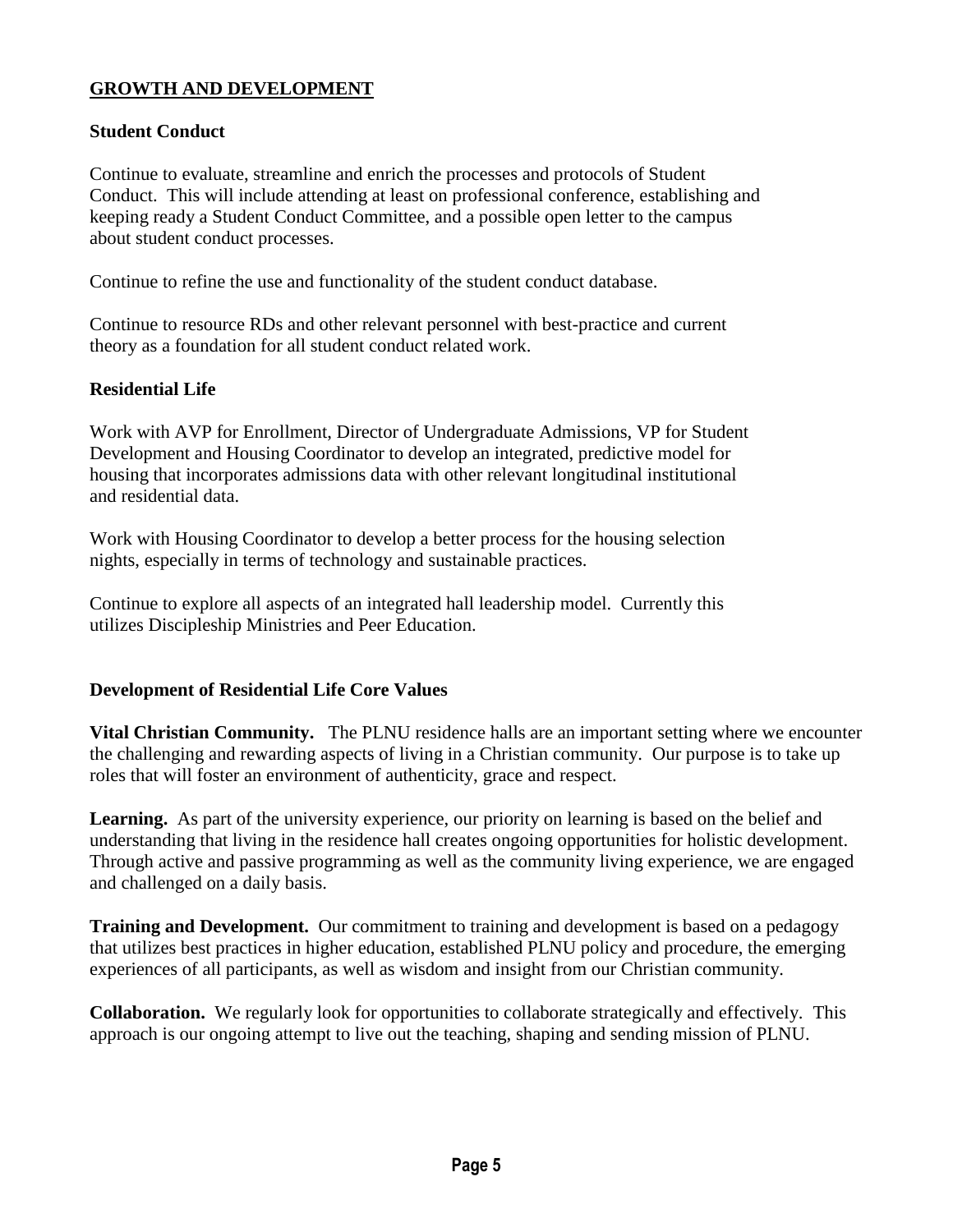# **GROWTH AND DEVELOPMENT**

#### **Student Conduct**

Continue to evaluate, streamline and enrich the processes and protocols of Student Conduct. This will include attending at least on professional conference, establishing and keeping ready a Student Conduct Committee, and a possible open letter to the campus about student conduct processes.

Continue to refine the use and functionality of the student conduct database.

Continue to resource RDs and other relevant personnel with best-practice and current theory as a foundation for all student conduct related work.

#### **Residential Life**

Work with AVP for Enrollment, Director of Undergraduate Admissions, VP for Student Development and Housing Coordinator to develop an integrated, predictive model for housing that incorporates admissions data with other relevant longitudinal institutional and residential data.

Work with Housing Coordinator to develop a better process for the housing selection nights, especially in terms of technology and sustainable practices.

Continue to explore all aspects of an integrated hall leadership model. Currently this utilizes Discipleship Ministries and Peer Education.

### **Development of Residential Life Core Values**

**Vital Christian Community.** The PLNU residence halls are an important setting where we encounter the challenging and rewarding aspects of living in a Christian community. Our purpose is to take up roles that will foster an environment of authenticity, grace and respect.

**Learning.** As part of the university experience, our priority on learning is based on the belief and understanding that living in the residence hall creates ongoing opportunities for holistic development. Through active and passive programming as well as the community living experience, we are engaged and challenged on a daily basis.

**Training and Development.** Our commitment to training and development is based on a pedagogy that utilizes best practices in higher education, established PLNU policy and procedure, the emerging experiences of all participants, as well as wisdom and insight from our Christian community.

**Collaboration.** We regularly look for opportunities to collaborate strategically and effectively. This approach is our ongoing attempt to live out the teaching, shaping and sending mission of PLNU.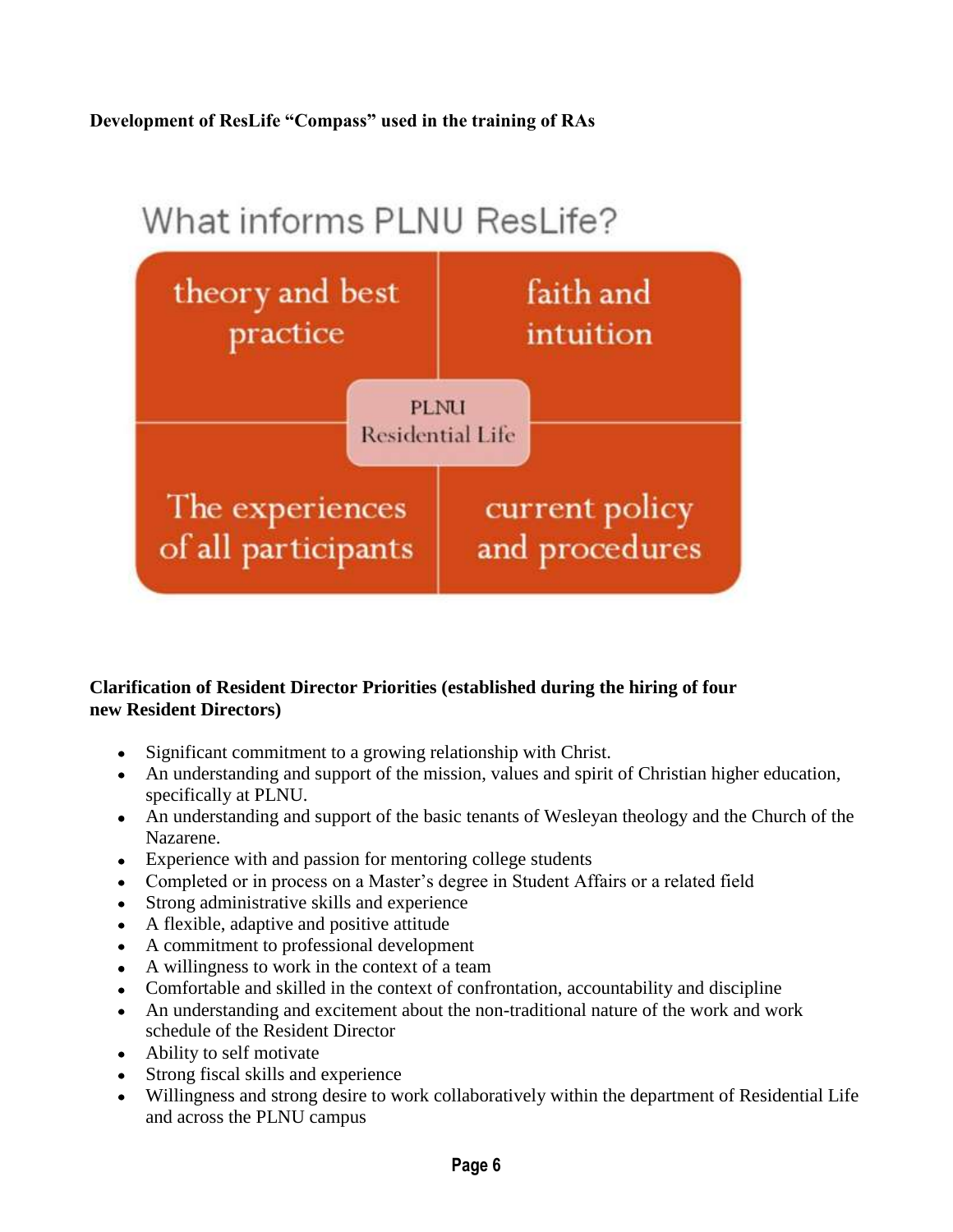# **Development of ResLife "Compass" used in the training of RAs**

# What informs PLNU ResLife? theory and best faith and practice intuition **PLNU** Residential Life The experiences current policy of all participants and procedures

# **Clarification of Resident Director Priorities (established during the hiring of four new Resident Directors)**

- Significant commitment to a growing relationship with Christ.
- An understanding and support of the mission, values and spirit of Christian higher education, specifically at PLNU.
- An understanding and support of the basic tenants of Wesleyan theology and the Church of the Nazarene.
- Experience with and passion for mentoring college students
- Completed or in process on a Master's degree in Student Affairs or a related field
- Strong administrative skills and experience
- A flexible, adaptive and positive attitude
- A commitment to professional development
- A willingness to work in the context of a team
- Comfortable and skilled in the context of confrontation, accountability and discipline
- An understanding and excitement about the non-traditional nature of the work and work schedule of the Resident Director
- Ability to self motivate
- Strong fiscal skills and experience
- Willingness and strong desire to work collaboratively within the department of Residential Life and across the PLNU campus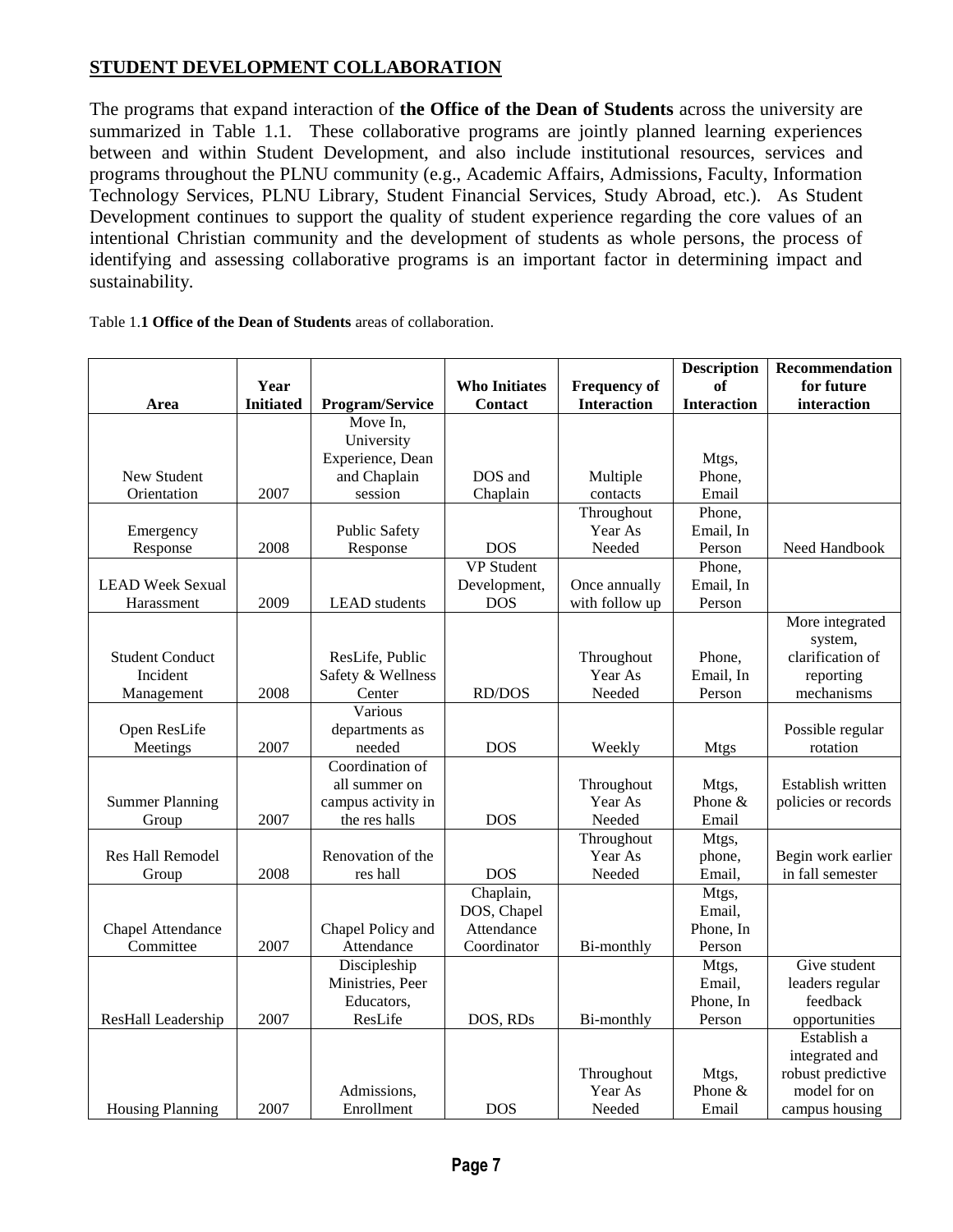# **STUDENT DEVELOPMENT COLLABORATION**

The programs that expand interaction of **the Office of the Dean of Students** across the university are summarized in Table 1.1. These collaborative programs are jointly planned learning experiences between and within Student Development, and also include institutional resources, services and programs throughout the PLNU community (e.g., Academic Affairs, Admissions, Faculty, Information Technology Services, PLNU Library, Student Financial Services, Study Abroad, etc.). As Student Development continues to support the quality of student experience regarding the core values of an intentional Christian community and the development of students as whole persons, the process of identifying and assessing collaborative programs is an important factor in determining impact and sustainability.

|  | Table 1.1 Office of the Dean of Students areas of collaboration. |  |
|--|------------------------------------------------------------------|--|
|--|------------------------------------------------------------------|--|

|                         |                  |                      |                      |                       | <b>Description</b> | Recommendation                    |
|-------------------------|------------------|----------------------|----------------------|-----------------------|--------------------|-----------------------------------|
|                         | Year             |                      | <b>Who Initiates</b> | <b>Frequency of</b>   | <b>of</b>          | for future                        |
| Area                    | <b>Initiated</b> | Program/Service      | <b>Contact</b>       | <b>Interaction</b>    | <b>Interaction</b> | interaction                       |
|                         |                  | Move In,             |                      |                       |                    |                                   |
|                         |                  | University           |                      |                       |                    |                                   |
|                         |                  | Experience, Dean     |                      |                       | Mtgs,              |                                   |
| New Student             |                  | and Chaplain         | DOS and              | Multiple              | Phone,             |                                   |
| Orientation             | 2007             | session              | Chaplain             | contacts              | Email              |                                   |
|                         |                  |                      |                      | Throughout            | Phone,             |                                   |
| Emergency               |                  | <b>Public Safety</b> |                      | Year As               | Email, In          |                                   |
| Response                | 2008             | Response             | <b>DOS</b>           | Needed                | Person             | Need Handbook                     |
|                         |                  |                      | <b>VP</b> Student    |                       | Phone,             |                                   |
| <b>LEAD Week Sexual</b> |                  |                      | Development,         | Once annually         | Email, In          |                                   |
| Harassment              | 2009             | <b>LEAD</b> students | <b>DOS</b>           | with follow up        | Person             |                                   |
|                         |                  |                      |                      |                       |                    | More integrated                   |
|                         |                  |                      |                      |                       |                    | system,                           |
| <b>Student Conduct</b>  |                  | ResLife, Public      |                      | Throughout            | Phone,             | clarification of                  |
| Incident                |                  | Safety & Wellness    |                      | Year As               | Email, In          | reporting                         |
| Management              | 2008             | Center               | <b>RD/DOS</b>        | Needed                | Person             | mechanisms                        |
|                         |                  | Various              |                      |                       |                    |                                   |
| Open ResLife            |                  | departments as       |                      |                       |                    | Possible regular                  |
| Meetings                | 2007             | needed               | <b>DOS</b>           | Weekly                | <b>Mtgs</b>        | rotation                          |
|                         |                  | Coordination of      |                      |                       |                    |                                   |
|                         |                  | all summer on        |                      | Throughout            | Mtgs,              | Establish written                 |
| <b>Summer Planning</b>  |                  | campus activity in   |                      | Year As               | Phone &            | policies or records               |
| Group                   | 2007             | the res halls        | <b>DOS</b>           | Needed                | Email              |                                   |
|                         |                  |                      |                      | Throughout            | Mtgs,              |                                   |
| Res Hall Remodel        |                  | Renovation of the    |                      | Year As               | phone,             | Begin work earlier                |
| Group                   | 2008             | res hall             | <b>DOS</b>           | Needed                | Email,             | in fall semester                  |
|                         |                  |                      | Chaplain,            |                       | Mtgs,              |                                   |
|                         |                  |                      | DOS, Chapel          |                       | Email,             |                                   |
| Chapel Attendance       |                  | Chapel Policy and    | Attendance           |                       | Phone, In          |                                   |
| Committee               | 2007             | Attendance           | Coordinator          | Bi-monthly            | Person             |                                   |
|                         |                  | Discipleship         |                      |                       | Mtgs,              | Give student                      |
|                         |                  | Ministries, Peer     |                      |                       | Email,             | leaders regular                   |
|                         |                  | Educators,           |                      |                       | Phone, In          | feedback                          |
| ResHall Leadership      | 2007             | ResLife              | DOS, RDs             | Bi-monthly            | Person             | opportunities                     |
|                         |                  |                      |                      |                       |                    | Establish a                       |
|                         |                  |                      |                      |                       |                    | integrated and                    |
|                         |                  | Admissions,          |                      | Throughout<br>Year As | Mtgs,<br>Phone &   | robust predictive<br>model for on |
|                         | 2007             | Enrollment           | <b>DOS</b>           | Needed                | Email              |                                   |
| <b>Housing Planning</b> |                  |                      |                      |                       |                    | campus housing                    |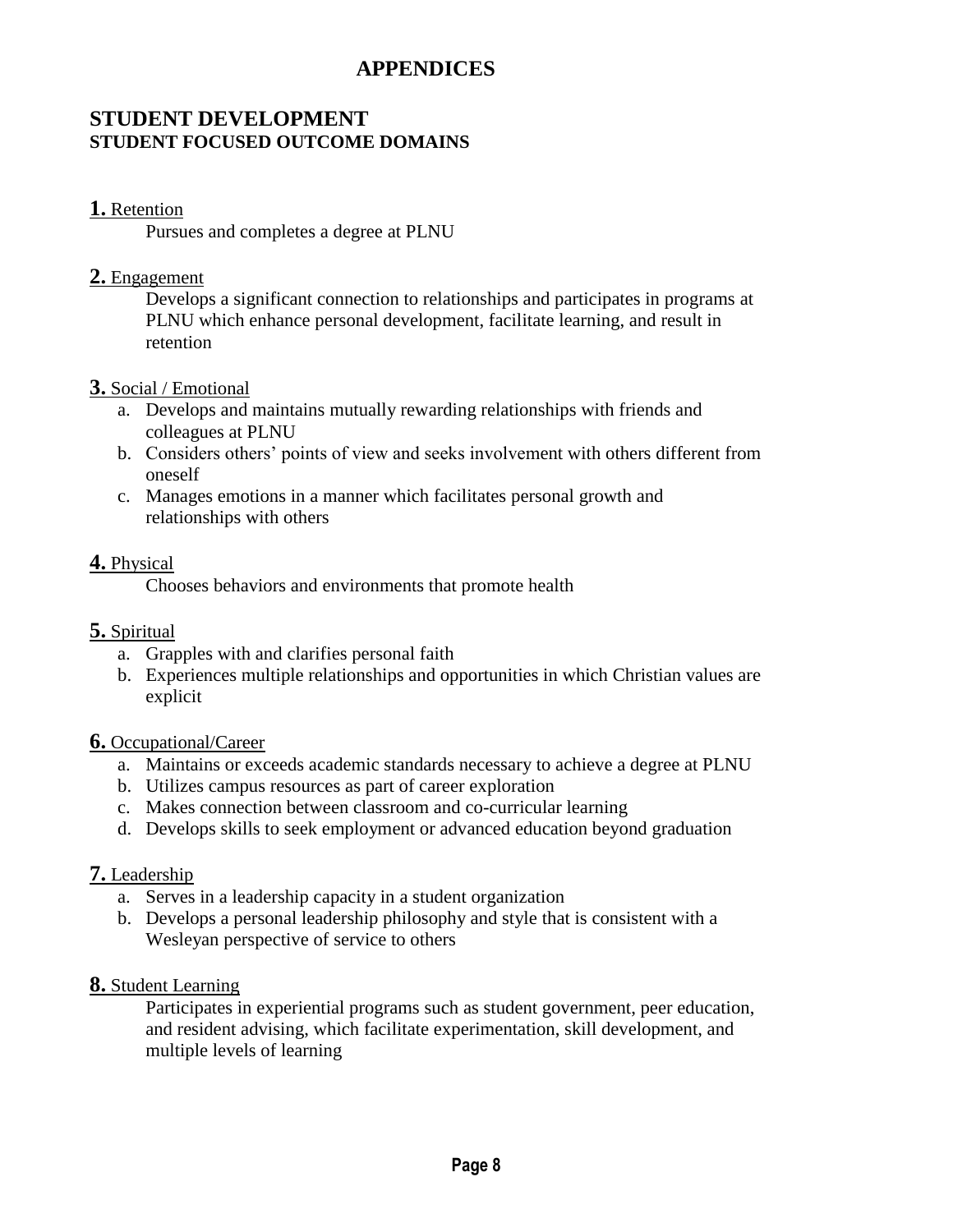# **APPENDICES**

# **STUDENT DEVELOPMENT STUDENT FOCUSED OUTCOME DOMAINS**

#### **1.** Retention

Pursues and completes a degree at PLNU

#### **2.** Engagement

Develops a significant connection to relationships and participates in programs at PLNU which enhance personal development, facilitate learning, and result in retention

#### **3.** Social / Emotional

- a. Develops and maintains mutually rewarding relationships with friends and colleagues at PLNU
- b. Considers others' points of view and seeks involvement with others different from oneself
- c. Manages emotions in a manner which facilitates personal growth and relationships with others

#### **4.** Physical

Chooses behaviors and environments that promote health

### **5.** Spiritual

- a. Grapples with and clarifies personal faith
- b. Experiences multiple relationships and opportunities in which Christian values are explicit

### **6.** Occupational/Career

- a. Maintains or exceeds academic standards necessary to achieve a degree at PLNU
- b. Utilizes campus resources as part of career exploration
- c. Makes connection between classroom and co-curricular learning
- d. Develops skills to seek employment or advanced education beyond graduation

### **7.** Leadership

- a. Serves in a leadership capacity in a student organization
- b. Develops a personal leadership philosophy and style that is consistent with a Wesleyan perspective of service to others

#### **8.** Student Learning

Participates in experiential programs such as student government, peer education, and resident advising, which facilitate experimentation, skill development, and multiple levels of learning